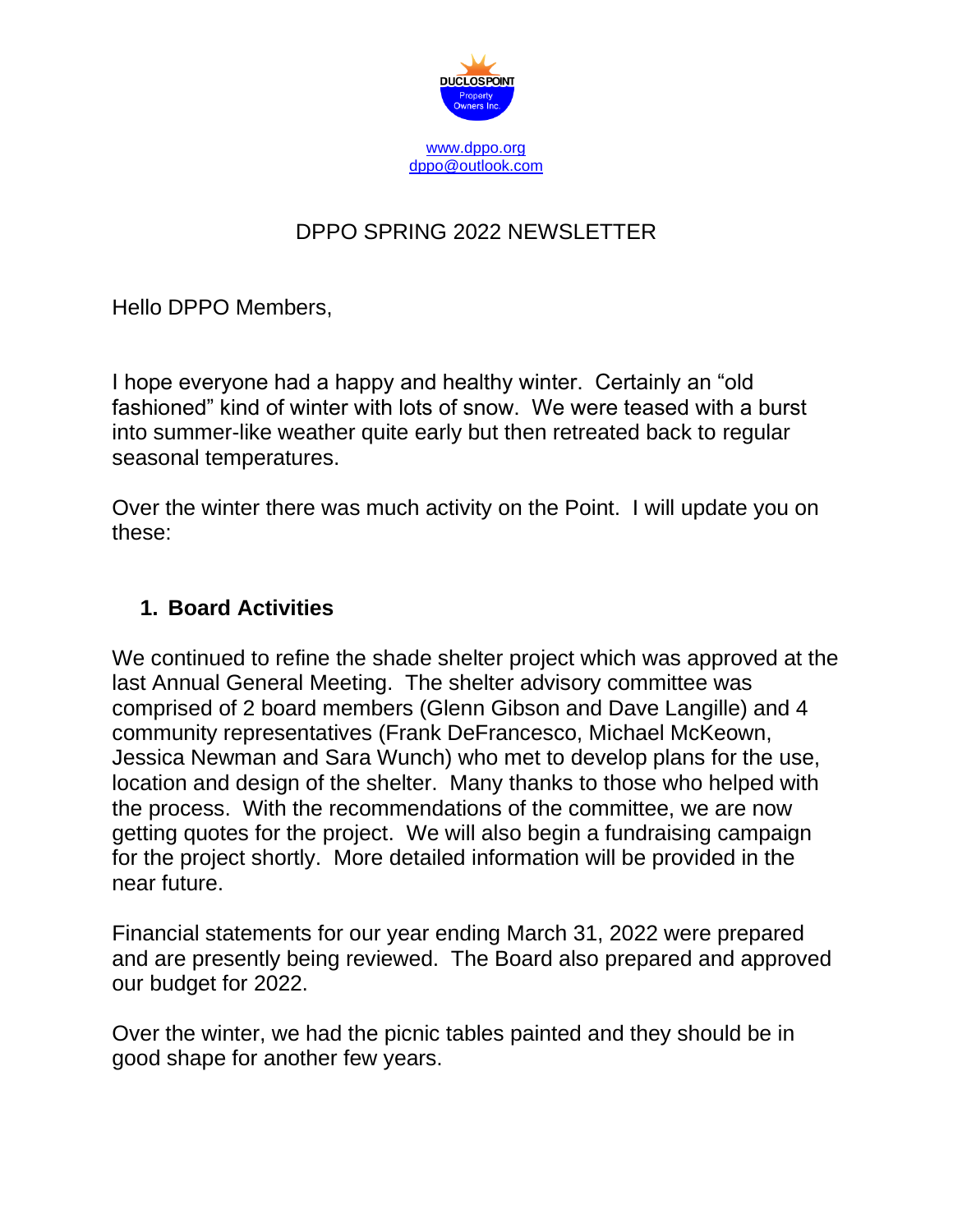

# DPPO SPRING 2022 NEWSLETTER

Hello DPPO Members,

I hope everyone had a happy and healthy winter. Certainly an "old fashioned" kind of winter with lots of snow. We were teased with a burst into summer-like weather quite early but then retreated back to regular seasonal temperatures.

Over the winter there was much activity on the Point. I will update you on these:

#### **1. Board Activities**

We continued to refine the shade shelter project which was approved at the last Annual General Meeting. The shelter advisory committee was comprised of 2 board members (Glenn Gibson and Dave Langille) and 4 community representatives (Frank DeFrancesco, Michael McKeown, Jessica Newman and Sara Wunch) who met to develop plans for the use, location and design of the shelter. Many thanks to those who helped with the process. With the recommendations of the committee, we are now getting quotes for the project. We will also begin a fundraising campaign for the project shortly. More detailed information will be provided in the near future.

Financial statements for our year ending March 31, 2022 were prepared and are presently being reviewed. The Board also prepared and approved our budget for 2022.

Over the winter, we had the picnic tables painted and they should be in good shape for another few years.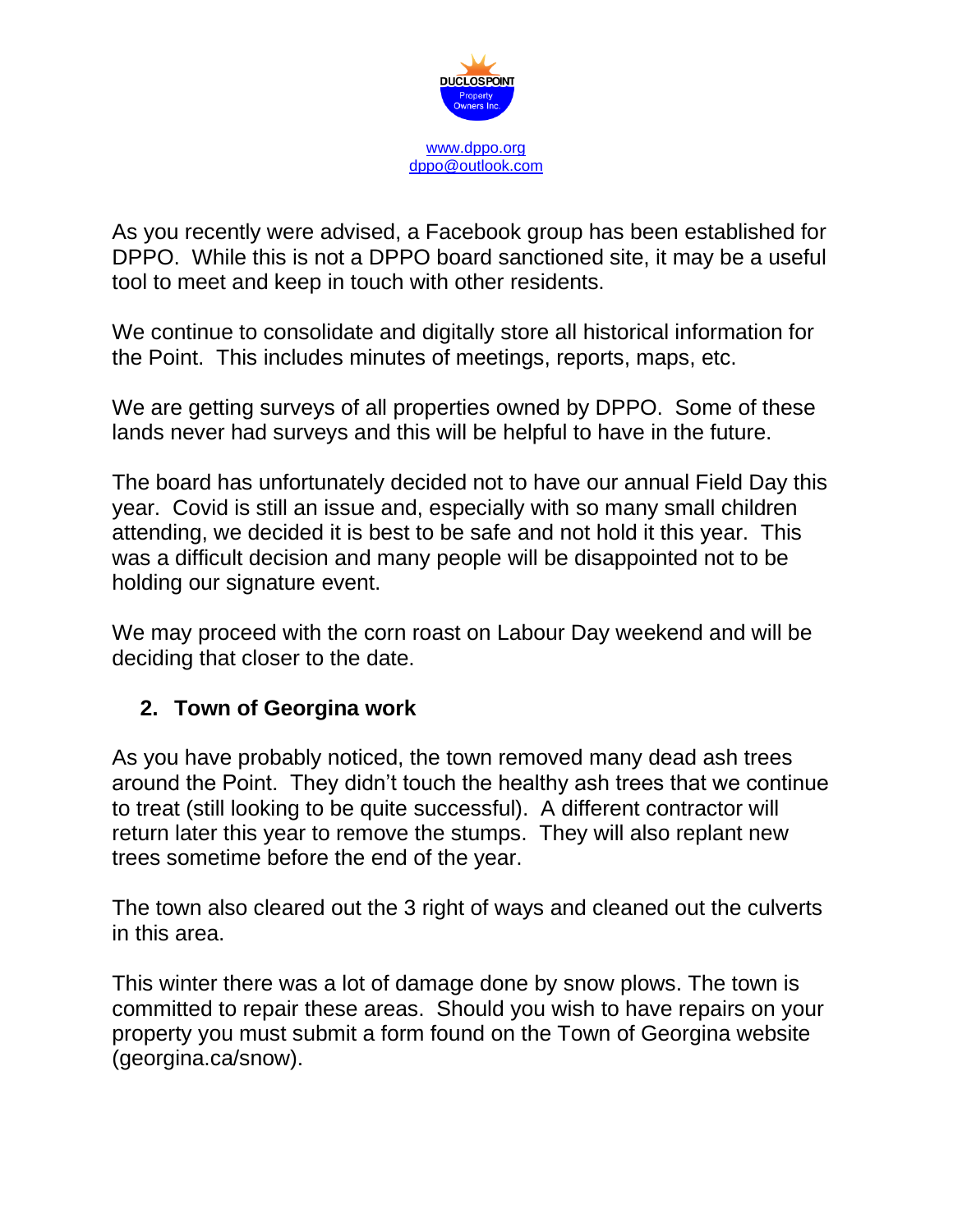

As you recently were advised, a Facebook group has been established for DPPO. While this is not a DPPO board sanctioned site, it may be a useful tool to meet and keep in touch with other residents.

We continue to consolidate and digitally store all historical information for the Point. This includes minutes of meetings, reports, maps, etc.

We are getting surveys of all properties owned by DPPO. Some of these lands never had surveys and this will be helpful to have in the future.

The board has unfortunately decided not to have our annual Field Day this year. Covid is still an issue and, especially with so many small children attending, we decided it is best to be safe and not hold it this year. This was a difficult decision and many people will be disappointed not to be holding our signature event.

We may proceed with the corn roast on Labour Day weekend and will be deciding that closer to the date.

## **2. Town of Georgina work**

As you have probably noticed, the town removed many dead ash trees around the Point. They didn't touch the healthy ash trees that we continue to treat (still looking to be quite successful). A different contractor will return later this year to remove the stumps. They will also replant new trees sometime before the end of the year.

The town also cleared out the 3 right of ways and cleaned out the culverts in this area.

This winter there was a lot of damage done by snow plows. The town is committed to repair these areas. Should you wish to have repairs on your property you must submit a form found on the Town of Georgina website (georgina.ca/snow).